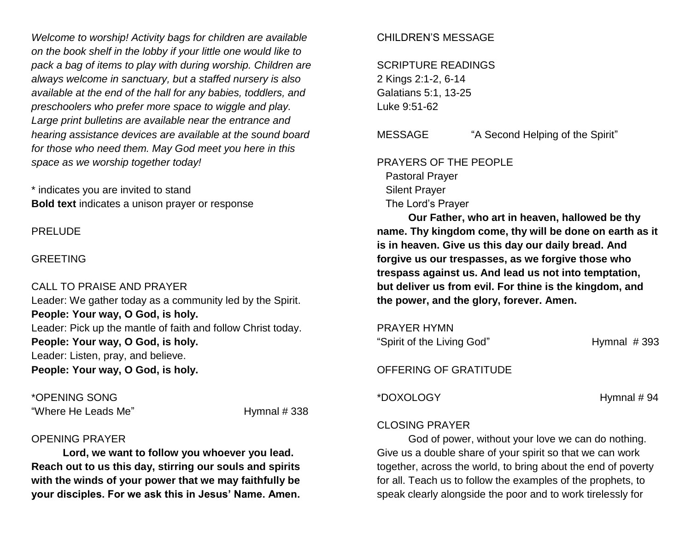*Welcome to worship! Activity bags for children are available on the book shelf in the lobby if your little one would like to pack a bag of items to play with during worship. Children are always welcome in sanctuary, but a staffed nursery is also available at the end of the hall for any babies, toddlers, and preschoolers who prefer more space to wiggle and play. Large print bulletins are available near the entrance and hearing assistance devices are available at the sound board for those who need them. May God meet you here in this space as we worship together today!*

\* indicates you are invited to stand **Bold text** indicates a unison prayer or response

PRELUDE

#### GREETING

CALL TO PRAISE AND PRAYER Leader: We gather today as a community led by the Spirit. **People: Your way, O God, is holy.** Leader: Pick up the mantle of faith and follow Christ today. **People: Your way, O God, is holy.** Leader: Listen, pray, and believe. **People: Your way, O God, is holy.**

\*OPENING SONG "Where He Leads Me" The Manus of Hymnal # 338

#### OPENING PRAYER

**Lord, we want to follow you whoever you lead. Reach out to us this day, stirring our souls and spirits with the winds of your power that we may faithfully be your disciples. For we ask this in Jesus' Name. Amen.**

## CHILDREN'S MESSAGE

SCRIPTURE READINGS 2 Kings 2:1-2, 6-14 Galatians 5:1, 13-25 Luke 9:51-62

MESSAGE "A Second Helping of the Spirit"

PRAYERS OF THE PEOPLE Pastoral Prayer Silent Prayer The Lord's Prayer

**Our Father, who art in heaven, hallowed be thy name. Thy kingdom come, thy will be done on earth as it is in heaven. Give us this day our daily bread. And forgive us our trespasses, as we forgive those who trespass against us. And lead us not into temptation, but deliver us from evil. For thine is the kingdom, and the power, and the glory, forever. Amen.**

PRAYER HYMN "Spirit of the Living God" Hymnal # 393

OFFERING OF GRATITUDE

\*DOXOLOGY Hymnal # 94

## CLOSING PRAYER

God of power, without your love we can do nothing. Give us a double share of your spirit so that we can work together, across the world, to bring about the end of poverty for all. Teach us to follow the examples of the prophets, to speak clearly alongside the poor and to work tirelessly for